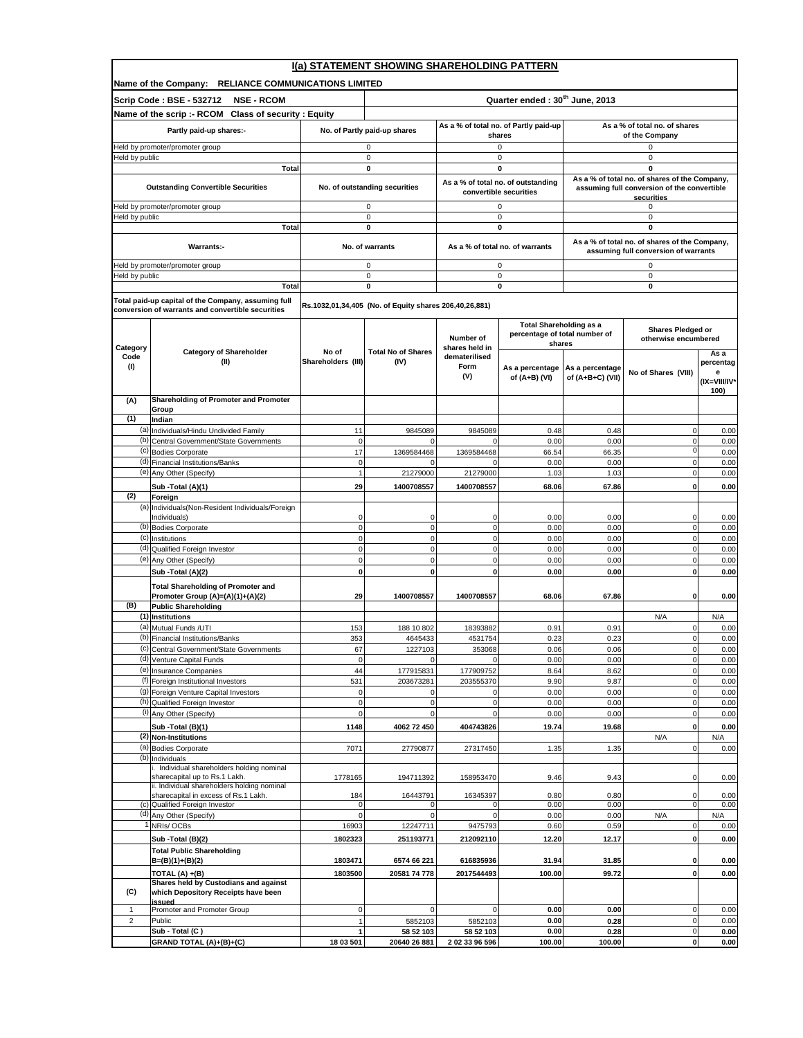| I(a) STATEMENT SHOWING SHAREHOLDING PATTERN |                                                                                                          |                              |                                                        |                                 |                                       |                               |                                                           |                   |  |  |  |
|---------------------------------------------|----------------------------------------------------------------------------------------------------------|------------------------------|--------------------------------------------------------|---------------------------------|---------------------------------------|-------------------------------|-----------------------------------------------------------|-------------------|--|--|--|
|                                             | Name of the Company: RELIANCE COMMUNICATIONS LIMITED                                                     |                              |                                                        |                                 |                                       |                               |                                                           |                   |  |  |  |
|                                             | Scrip Code: BSE - 532712<br><b>NSE - RCOM</b>                                                            |                              | Quarter ended: 30 <sup>th</sup> June, 2013             |                                 |                                       |                               |                                                           |                   |  |  |  |
|                                             | Name of the scrip :- RCOM Class of security : Equity                                                     |                              |                                                        |                                 | As a % of total no. of Partly paid-up | As a % of total no. of shares |                                                           |                   |  |  |  |
|                                             | Partly paid-up shares:-                                                                                  | No. of Partly paid-up shares |                                                        | shares                          |                                       | of the Company                |                                                           |                   |  |  |  |
|                                             | Held by promoter/promoter group                                                                          | 0                            |                                                        |                                 | 0                                     |                               | 0                                                         |                   |  |  |  |
| Held by public                              | Total                                                                                                    |                              | $\mathbf 0$<br>$\mathbf{0}$                            |                                 | $\mathbf 0$<br>$\mathbf{0}$           |                               | $\pmb{0}$<br>$\mathbf 0$                                  |                   |  |  |  |
|                                             |                                                                                                          |                              |                                                        |                                 | As a % of total no. of outstanding    |                               | As a % of total no. of shares of the Company,             |                   |  |  |  |
|                                             | <b>Outstanding Convertible Securities</b>                                                                |                              | No. of outstanding securities                          |                                 | convertible securities                |                               | assuming full conversion of the convertible<br>securities |                   |  |  |  |
|                                             | Held by promoter/promoter group                                                                          |                              | $\mathsf 0$                                            |                                 | $\mathsf 0$                           |                               | 0                                                         |                   |  |  |  |
| Held by public                              |                                                                                                          |                              | $\mathsf 0$<br>$\pmb{0}$                               |                                 | $\mathsf 0$<br>$\pmb{0}$              |                               | 0<br>0                                                    |                   |  |  |  |
|                                             | Total                                                                                                    |                              |                                                        |                                 |                                       |                               | As a % of total no. of shares of the Company,             |                   |  |  |  |
|                                             | Warrants:-                                                                                               |                              | No. of warrants                                        |                                 | As a % of total no. of warrants       |                               | assuming full conversion of warrants                      |                   |  |  |  |
|                                             | Held by promoter/promoter group                                                                          |                              | 0                                                      |                                 | 0                                     |                               | 0                                                         |                   |  |  |  |
| Held by public                              |                                                                                                          |                              | $\mathsf 0$                                            |                                 | $\mathsf 0$<br>0                      |                               | 0                                                         |                   |  |  |  |
|                                             | Total                                                                                                    |                              | 0                                                      |                                 |                                       |                               | 0                                                         |                   |  |  |  |
|                                             | Total paid-up capital of the Company, assuming full<br>conversion of warrants and convertible securities |                              | Rs.1032,01,34,405 (No. of Equity shares 206,40,26,881) |                                 |                                       |                               |                                                           |                   |  |  |  |
|                                             |                                                                                                          |                              |                                                        |                                 | <b>Total Shareholding as a</b>        |                               |                                                           |                   |  |  |  |
|                                             |                                                                                                          |                              |                                                        | Number of                       | percentage of total number of         |                               | Shares Pledged or<br>otherwise encumbered                 |                   |  |  |  |
| Category<br>Code                            | <b>Category of Shareholder</b>                                                                           | No of                        | <b>Total No of Shares</b>                              | shares held in<br>dematerilised | shares                                |                               |                                                           | As a              |  |  |  |
| (1)                                         | (II)                                                                                                     | Shareholders (III)           | (IV)                                                   | Form                            | As a percentage                       | As a percentage               |                                                           | percentag         |  |  |  |
|                                             |                                                                                                          |                              |                                                        | (V)                             | of (A+B) (VI)                         | of (A+B+C) (VII)              | No of Shares (VIII)                                       | е<br>(IX=VIII/IV* |  |  |  |
| (A)                                         | Shareholding of Promoter and Promoter                                                                    |                              |                                                        |                                 |                                       |                               |                                                           | 100)              |  |  |  |
|                                             | Group                                                                                                    |                              |                                                        |                                 |                                       |                               |                                                           |                   |  |  |  |
| (1)                                         | Indian                                                                                                   |                              |                                                        |                                 |                                       |                               |                                                           |                   |  |  |  |
| (b)                                         | (a) Individuals/Hindu Undivided Family<br>Central Government/State Governments                           | 11<br>$\mathbf 0$            | 9845089<br>$\mathbf 0$                                 | 9845089                         | 0.48<br>0.00                          | 0.48<br>0.00                  | $\mathbf 0$<br>$\mathbf 0$                                | 0.00<br>0.00      |  |  |  |
|                                             | (c) Bodies Corporate                                                                                     | 17                           | 1369584468                                             | 1369584468                      | 66.54                                 | 66.35                         | $\mathbf 0$                                               | 0.00              |  |  |  |
|                                             | (d) Financial Institutions/Banks                                                                         | $\mathbf 0$                  |                                                        |                                 | 0.00                                  | 0.00                          | $\mathbf 0$                                               | 0.00              |  |  |  |
|                                             | (e) Any Other (Specify)                                                                                  | $\overline{1}$               | 21279000                                               | 21279000                        | 1.03                                  | 1.03                          | $\pmb{0}$                                                 | 0.00              |  |  |  |
| (2)                                         | Sub -Total (A)(1)<br>Foreign                                                                             | 29                           | 1400708557                                             | 1400708557                      | 68.06                                 | 67.86                         | $\mathbf 0$                                               | 0.00              |  |  |  |
| (a)                                         | Individuals (Non-Resident Individuals/Foreign                                                            |                              |                                                        |                                 |                                       |                               |                                                           |                   |  |  |  |
|                                             | Individuals)                                                                                             | 0                            | 0                                                      | 0                               | 0.00                                  | 0.00                          | 0                                                         | 0.00              |  |  |  |
|                                             | (b) Bodies Corporate<br>(c) Institutions                                                                 | $\mathbf 0$<br>$\mathbf 0$   | $\mathbf{0}$<br>$\circ$                                | $\Omega$<br>$\mathbf 0$         | 0.00<br>0.00                          | 0.00<br>0.00                  | $\mathbf 0$<br>$\pmb{0}$                                  | 0.00<br>0.00      |  |  |  |
|                                             | (d) Qualified Foreign Investor                                                                           | $\mathbf 0$                  | $\mathbf{0}$                                           | $\mathbf 0$                     | 0.00                                  | 0.00                          | $\mathbf 0$                                               | 0.00              |  |  |  |
|                                             | (e) Any Other (Specify)                                                                                  | $\mathbf 0$                  | $\mathbf{0}$                                           | $\mathbf 0$                     | 0.00                                  | 0.00                          | $\mathbf 0$                                               | 0.00              |  |  |  |
|                                             | Sub -Total (A)(2)                                                                                        | $\mathbf 0$                  | $\mathbf 0$                                            | 0                               | 0.00                                  | 0.00                          | $\pmb{0}$                                                 | 0.00              |  |  |  |
|                                             | <b>Total Shareholding of Promoter and</b><br>Promoter Group (A)=(A)(1)+(A)(2)                            | 29                           | 1400708557                                             | 1400708557                      | 68.06                                 | 67.86                         | 0                                                         | 0.00              |  |  |  |
| (B)                                         | <b>Public Shareholding</b>                                                                               |                              |                                                        |                                 |                                       |                               |                                                           |                   |  |  |  |
|                                             | (1) Institutions                                                                                         |                              |                                                        |                                 |                                       |                               | N/A                                                       | N/A               |  |  |  |
|                                             | (a) Mutual Funds /UTI<br>(b) Financial Institutions/Banks                                                | 153<br>353                   | 188 10 802<br>4645433                                  | 18393882<br>4531754             | 0.91<br>0.23                          | 0.91<br>0.23                  | $\mathbf 0$<br>$\mathbf 0$                                | 0.00<br>0.00      |  |  |  |
|                                             | (c) Central Government/State Governments                                                                 | 67                           | 1227103                                                | 353068                          | 0.06                                  | 0.06                          |                                                           | 0.00              |  |  |  |
|                                             | (d) Venture Capital Funds                                                                                | $\mathbf 0$                  | $\mathbf 0$                                            | $\Omega$                        | 0.00                                  | 0.00                          | $\pmb{0}$                                                 | 0.00              |  |  |  |
|                                             | (e) Insurance Companies                                                                                  | 44                           | 177915831                                              | 177909752                       | 8.64                                  | 8.62                          | $\mathbf 0$                                               | 0.00              |  |  |  |
|                                             | (f) Foreign Institutional Investors<br>(g) Foreign Venture Capital Investors                             | 531<br>$\mathbf 0$           | 203673281<br>$\mathbf{0}$                              | 203555370                       | 9.90<br>0.00                          | 9.87<br>0.00                  | $\pmb{0}$<br>$\mathbf 0$                                  | 0.00<br>0.00      |  |  |  |
|                                             | (h) Qualified Foreign Investor                                                                           | $\mathbf 0$                  | $\circ$                                                | $\mathbf 0$                     | 0.00                                  | 0.00                          | $\pmb{0}$                                                 | 0.00              |  |  |  |
|                                             | (i) Any Other (Specify)                                                                                  | $\mathbf 0$                  | $\mathbf{0}$                                           | $\mathbf 0$                     | 0.00                                  | 0.00                          | $\mathbf 0$                                               | 0.00              |  |  |  |
|                                             | Sub -Total (B)(1)                                                                                        | 1148                         | 4062 72 450                                            | 404743826                       | 19.74                                 | 19.68                         | $\pmb{0}$                                                 | 0.00              |  |  |  |
|                                             | (2) Non-Institutions<br>(a) Bodies Corporate                                                             | 7071                         | 27790877                                               | 27317450                        | 1.35                                  | 1.35                          | N/A<br>$\mathbf 0$                                        | N/A<br>0.00       |  |  |  |
|                                             | (b) Individuals                                                                                          |                              |                                                        |                                 |                                       |                               |                                                           |                   |  |  |  |
|                                             | . Individual shareholders holding nominal<br>sharecapital up to Rs.1 Lakh.                               | 1778165                      | 194711392                                              | 158953470                       | 9.46                                  | 9.43                          | $\mathbf 0$                                               | 0.00              |  |  |  |
|                                             | ii. Individual shareholders holding nominal                                                              |                              |                                                        |                                 |                                       |                               |                                                           |                   |  |  |  |
|                                             | sharecapital in excess of Rs.1 Lakh.<br>(c) Qualified Foreign Investor                                   | 184<br>0                     | 16443791<br>$\mathbf 0$                                | 16345397<br>$\mathbf 0$         | 0.80<br>0.00                          | 0.80<br>0.00                  | $\mathbf 0$<br>$\mathbf 0$                                | 0.00<br>0.00      |  |  |  |
|                                             | (d) Any Other (Specify)                                                                                  | $\mathbf 0$                  | $\mathbf{0}$                                           |                                 | 0.00                                  | 0.00                          | N/A                                                       | N/A               |  |  |  |
|                                             | NRIs/OCBs                                                                                                | 16903                        | 12247711                                               | 9475793                         | 0.60                                  | 0.59                          | $\mathbf 0$                                               | 0.00              |  |  |  |
|                                             | Sub -Total (B)(2)                                                                                        | 1802323                      | 251193771                                              | 212092110                       | 12.20                                 | 12.17                         | $\pmb{0}$                                                 | 0.00              |  |  |  |
|                                             | <b>Total Public Shareholding</b><br>B=(B)(1)+(B)(2)                                                      | 1803471                      | 6574 66 221                                            | 616835936                       | 31.94                                 | 31.85                         | $\pmb{0}$                                                 | 0.00              |  |  |  |
|                                             | TOTAL (A) +(B)                                                                                           | 1803500                      | 20581 74 778                                           | 2017544493                      | 100.00                                | 99.72                         | $\pmb{0}$                                                 | 0.00              |  |  |  |
|                                             | Shares held by Custodians and against                                                                    |                              |                                                        |                                 |                                       |                               |                                                           |                   |  |  |  |
| (C)                                         | which Depository Receipts have been<br>issued                                                            |                              |                                                        |                                 |                                       |                               |                                                           |                   |  |  |  |
| 1                                           | Promoter and Promoter Group                                                                              | 0                            | $\mathbf 0$                                            | $\mathbf 0$                     | 0.00                                  | 0.00                          | $\mathbf 0$<br>$\mathbf 0$                                | 0.00              |  |  |  |
| $\overline{c}$                              | Public<br>Sub - Total (C)                                                                                | 1<br>$\mathbf{1}$            | 5852103<br>58 52 103                                   | 5852103<br>58 52 103            | 0.00<br>0.00                          | 0.28<br>0.28                  | $\pmb{0}$                                                 | 0.00<br>0.00      |  |  |  |
|                                             | GRAND TOTAL (A)+(B)+(C)                                                                                  | 18 03 501                    | 20640 26 881                                           | 2 02 33 96 596                  | 100.00                                | 100.00                        | $\mathbf 0$                                               | 0.00              |  |  |  |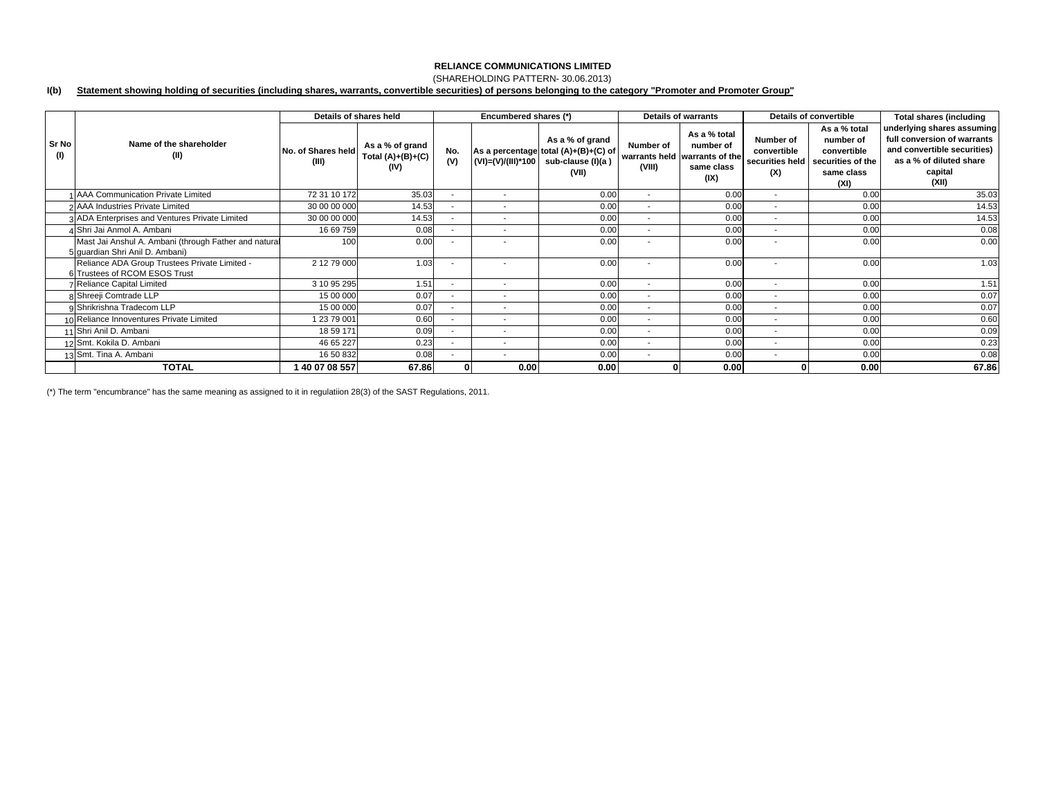### **RELIANCE COMMUNICATIONS LIMITED**

### (SHAREHOLDING PATTERN- 30.06.2013)

#### **I(b) Statement showing holding of securities (including shares, warrants, convertible securities) of persons belonging to the category "Promoter and Promoter Group"**

|              |                                                                                          | Details of shares held      |                                                |                          | Encumbered shares (*)    |                                                                                                          |                          | <b>Details of warrants</b>                                                       | Details of convertible                             |                                                                                     | <b>Total shares (including</b>                                                                                                          |
|--------------|------------------------------------------------------------------------------------------|-----------------------------|------------------------------------------------|--------------------------|--------------------------|----------------------------------------------------------------------------------------------------------|--------------------------|----------------------------------------------------------------------------------|----------------------------------------------------|-------------------------------------------------------------------------------------|-----------------------------------------------------------------------------------------------------------------------------------------|
| Sr No<br>(1) | Name of the shareholder<br>(II)                                                          | No. of Shares held<br>(III) | As a % of grand<br>Total $(A)+(B)+(C)$<br>(IV) | No.<br>(V)               |                          | As a % of grand<br>As a percentage total (A)+(B)+(C) of<br>(VI)=(V)/(III)*100 sub-clause (I)(a)<br>(VII) | Number of<br>(VIII)      | As a % total<br>number of<br>warrants held warrants of the<br>same class<br>(IX) | Number of<br>convertible<br>securities held<br>(X) | As a % total<br>number of<br>convertible<br>securities of the<br>same class<br>(XI) | underlying shares assuming<br>full conversion of warrants<br>and convertible securities)<br>as a % of diluted share<br>capital<br>(XII) |
|              | 1 AAA Communication Private Limited                                                      | 72 31 10 172                | 35.03                                          | $\overline{\phantom{a}}$ | $\sim$                   | 0.00                                                                                                     | $\sim$                   | 0.00                                                                             | $\overline{\phantom{a}}$                           | 0.00                                                                                | 35.03                                                                                                                                   |
|              | 2 AAA Industries Private Limited                                                         | 30 00 00 000                | 14.53                                          | $\overline{\phantom{a}}$ | $\overline{\phantom{a}}$ | 0.00                                                                                                     | $\sim$                   | 0.00                                                                             | $\overline{\phantom{a}}$                           | 0.00                                                                                | 14.53                                                                                                                                   |
|              | 3 ADA Enterprises and Ventures Private Limited                                           | 30 00 00 000                | 14.53                                          | $\overline{\phantom{a}}$ | $\overline{\phantom{a}}$ | 0.00                                                                                                     | $\sim$                   | 0.00                                                                             | $\overline{\phantom{a}}$                           | 0.00                                                                                | 14.53                                                                                                                                   |
|              | 4 Shri Jai Anmol A. Ambani                                                               | 16 69 759                   | 0.08                                           | $\sim$                   | $\overline{\phantom{a}}$ | 0.00                                                                                                     | $\sim$                   | 0.00                                                                             | $\overline{\phantom{a}}$                           | 0.00                                                                                | 0.08                                                                                                                                    |
|              | Mast Jai Anshul A. Ambani (through Father and natural<br>5 quardian Shri Anil D. Ambani) | 100                         | 0.00                                           | $\sim$                   |                          | 0.00                                                                                                     | $\overline{\phantom{a}}$ | 0.00                                                                             | ۰                                                  | 0.00                                                                                | 0.00                                                                                                                                    |
|              | Reliance ADA Group Trustees Private Limited -<br>6 Trustees of RCOM ESOS Trust           | 2 12 79 000                 | 1.03                                           | $\overline{\phantom{a}}$ | $\overline{\phantom{a}}$ | 0.00                                                                                                     | $\overline{\phantom{a}}$ | 0.00                                                                             | $\overline{\phantom{a}}$                           | 0.00                                                                                | 1.03                                                                                                                                    |
|              | <b>7 Reliance Capital Limited</b>                                                        | 3 10 95 295                 | 1.51                                           | $\sim$                   | $\mathbf{r}$             | 0.00                                                                                                     | $\sim$                   | 0.00                                                                             | $\overline{\phantom{a}}$                           | 0.00                                                                                | 1.51                                                                                                                                    |
|              | 8 Shreeji Comtrade LLP                                                                   | 15 00 000                   | 0.07                                           | $\sim$                   | $\overline{\phantom{a}}$ | 0.00                                                                                                     | $\sim$                   | 0.00                                                                             | $\overline{\phantom{a}}$                           | 0.00                                                                                | 0.07                                                                                                                                    |
|              | 9 Shrikrishna Tradecom LLP                                                               | 15 00 000                   | 0.07                                           | $\sim$                   | $\overline{\phantom{a}}$ | 0.00                                                                                                     | $\sim$                   | 0.00                                                                             | $\overline{\phantom{a}}$                           | 0.00                                                                                | 0.07                                                                                                                                    |
|              | 10 Reliance Innoventures Private Limited                                                 | 1 23 79 001                 | 0.60                                           | $\overline{\phantom{a}}$ | $\overline{\phantom{a}}$ | 0.00                                                                                                     | $\overline{\phantom{a}}$ | 0.00                                                                             | $\overline{\phantom{a}}$                           | 0.00                                                                                | 0.60                                                                                                                                    |
|              | 11 Shri Anil D. Ambani                                                                   | 18 59 171                   | 0.09                                           | $\sim$                   | $\overline{\phantom{a}}$ | 0.00                                                                                                     | $\sim$                   | 0.00                                                                             | $\overline{\phantom{a}}$                           | 0.00                                                                                | 0.09                                                                                                                                    |
|              | 12 Smt. Kokila D. Ambani                                                                 | 46 65 227                   | 0.23                                           | $\sim$                   | $\overline{\phantom{a}}$ | 0.00                                                                                                     | $\overline{\phantom{a}}$ | 0.00                                                                             | $\overline{\phantom{a}}$                           | 0.00                                                                                | 0.23                                                                                                                                    |
|              | 13 Smt. Tina A. Ambani                                                                   | 16 50 832                   | 0.08                                           | $\overline{\phantom{a}}$ | $\overline{\phantom{a}}$ | 0.00                                                                                                     | $\sim$                   | 0.00                                                                             | $\overline{\phantom{a}}$                           | 0.00                                                                                | 0.08                                                                                                                                    |
|              | <b>TOTAL</b>                                                                             | 40 07 08 557                | 67.86                                          |                          | 0.00                     | 0.00                                                                                                     |                          | 0.00                                                                             |                                                    | 0.00                                                                                | 67.86                                                                                                                                   |

(\*) The term "encumbrance" has the same meaning as assigned to it in regulatiion 28(3) of the SAST Regulations, 2011.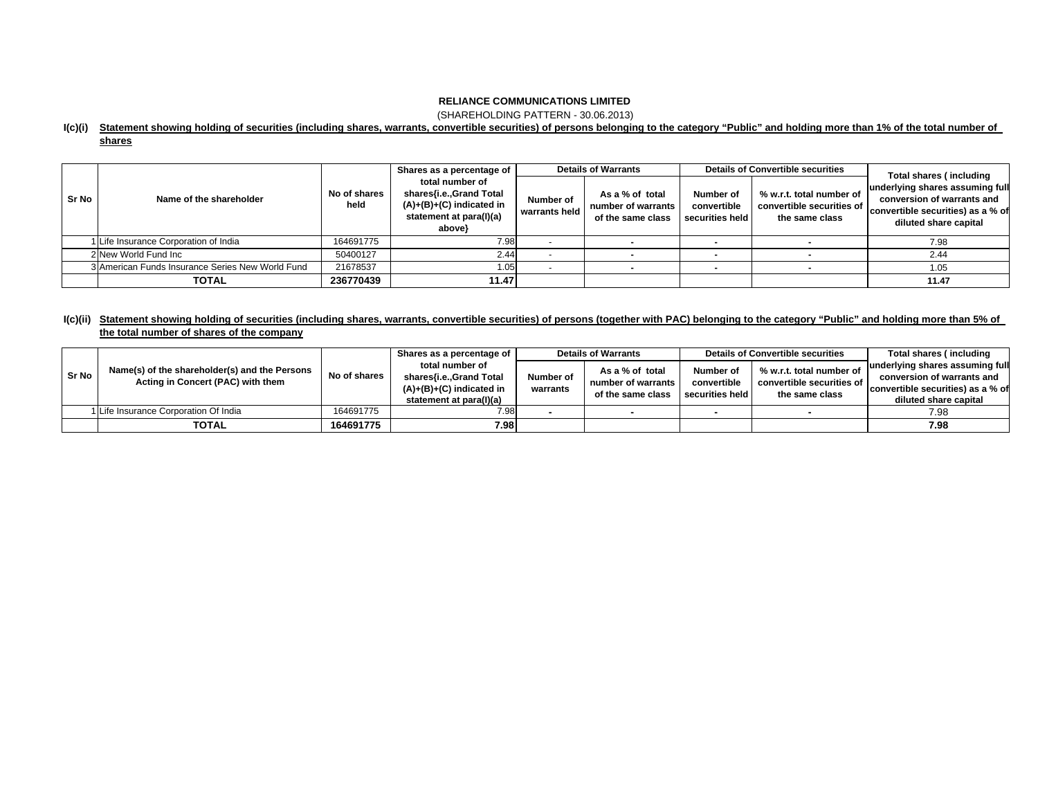### **RELIANCE COMMUNICATIONS LIMITED**

(SHAREHOLDING PATTERN - 30.06.2013)

#### **I(c)(i) Statement showing holding of securities (including shares, warrants, convertible securities) of persons belonging to the category "Public" and holding more than 1% of the total number of**

| u<br>œ |  |
|--------|--|
|        |  |

|              | Name of the shareholder                          | No of shares<br>held | Shares as a percentage of<br>total number of<br>shares{i.e.,Grand Total<br>$(A)+(B)+(C)$ indicated in<br>statement at para(I)(a)<br>above} | <b>Details of Warrants</b> |                                                            |                                             | <b>Details of Convertible securities</b>                                | Total shares (including                                                                                                     |  |
|--------------|--------------------------------------------------|----------------------|--------------------------------------------------------------------------------------------------------------------------------------------|----------------------------|------------------------------------------------------------|---------------------------------------------|-------------------------------------------------------------------------|-----------------------------------------------------------------------------------------------------------------------------|--|
| <b>Sr No</b> |                                                  |                      |                                                                                                                                            | Number of<br>warrants held | As a % of total<br>number of warrants<br>of the same class | Number of<br>convertible<br>securities held | % w.r.t. total number of<br>convertible securities of<br>the same class | underlying shares assuming full<br>conversion of warrants and<br>convertible securities) as a % of<br>diluted share capital |  |
|              | 1 Life Insurance Corporation of India            | 164691775            | 7.98                                                                                                                                       |                            |                                                            | $\overline{\phantom{a}}$                    |                                                                         | 7.98                                                                                                                        |  |
|              | 2 New World Fund Inc                             | 50400127             | 2.44                                                                                                                                       |                            |                                                            |                                             |                                                                         | 2.44                                                                                                                        |  |
|              | 3 American Funds Insurance Series New World Fund | 21678537             | 1.05                                                                                                                                       |                            |                                                            |                                             |                                                                         | 1.05                                                                                                                        |  |
|              | <b>TOTAL</b>                                     | 236770439            | 11.47                                                                                                                                      |                            |                                                            |                                             |                                                                         | 11.47                                                                                                                       |  |

### l(c)(ii) Statement showing holding of securities (including shares, warrants, convertible securities) of persons (together with PAC) belonging to the category "Public" and holding more than 5% of **the total number of shares of the company**

|       | Name(s) of the shareholder(s) and the Persons<br>Acting in Concert (PAC) with them | No of shares | Shares as a percentage of                                                                           | <b>Details of Warrants</b> |                                                            |                                | <b>Details of Convertible securities</b>    | Total shares (including           |
|-------|------------------------------------------------------------------------------------|--------------|-----------------------------------------------------------------------------------------------------|----------------------------|------------------------------------------------------------|--------------------------------|---------------------------------------------|-----------------------------------|
| Sr No |                                                                                    |              | total number of<br>shares{i.e.,Grand Total<br>$(A)+(B)+(C)$ indicated in<br>statement at para(I)(a) |                            | As a % of total<br>number of warrants<br>of the same class | Number of                      | % w.r.t. total number of                    | underlying shares assuming full   |
|       |                                                                                    |              |                                                                                                     | Number of<br>warrants      |                                                            | convertible<br>securities held | convertible securities of<br>the same class | conversion of warrants and        |
|       |                                                                                    |              |                                                                                                     |                            |                                                            |                                |                                             | convertible securities) as a % of |
|       |                                                                                    |              |                                                                                                     |                            |                                                            |                                |                                             | diluted share capital             |
|       | 1 Life Insurance Corporation Of India                                              | 164691775    | 7.98                                                                                                |                            |                                                            |                                |                                             | 7.98                              |
|       | <b>TOTAL</b>                                                                       | 164691775    | 7.98                                                                                                |                            |                                                            |                                |                                             | 7.98                              |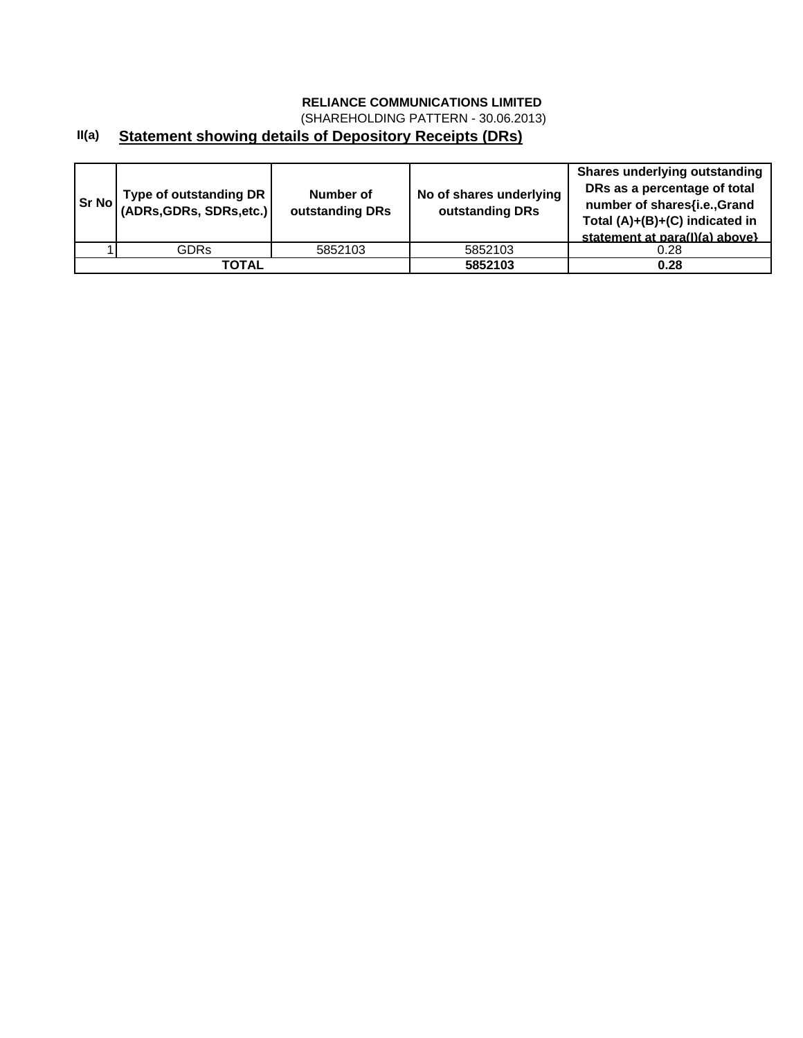# **RELIANCE COMMUNICATIONS LIMITED**

(SHAREHOLDING PATTERN - 30.06.2013)

## **II(a) Statement showing details of Depository Receipts (DRs)**

| <b>Sr No</b> | Type of outstanding DR  <br>(ADRs, GDRs, SDRs, etc.) | Number of<br>outstanding DRs | No of shares underlying<br>outstanding DRs | <b>Shares underlying outstanding</b><br>DRs as a percentage of total<br>number of shares{i.e.,Grand<br>Total (A)+(B)+(C) indicated in<br>statement at para(I)(a) above} |
|--------------|------------------------------------------------------|------------------------------|--------------------------------------------|-------------------------------------------------------------------------------------------------------------------------------------------------------------------------|
|              | <b>GDRs</b>                                          | 5852103                      | 5852103                                    | 0.28                                                                                                                                                                    |
|              | TOTAL                                                |                              | 5852103                                    | 0.28                                                                                                                                                                    |